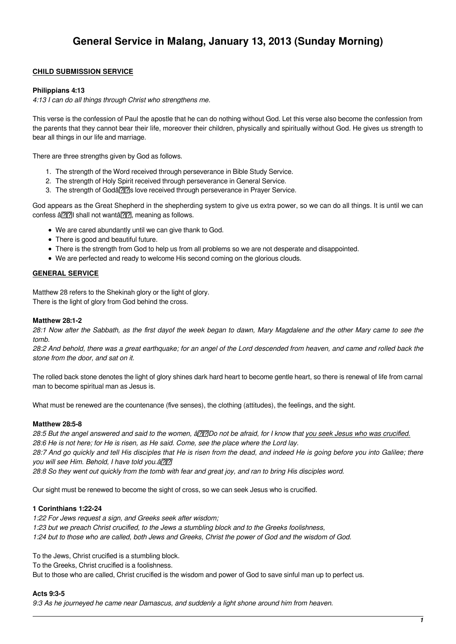# **CHILD SUBMISSION SERVICE**

# **Philippians 4:13**

4:13 I can do all things through Christ who strengthens me.

This verse is the confession of Paul the apostle that he can do nothing without God. Let this verse also become the confession from the parents that they cannot bear their life, moreover their children, physically and spiritually without God. He gives us strength to bear all things in our life and marriage.

There are three strengths given by God as follows.

- 1. The strength of the Word received through perseverance in Bible Study Service.
- 2. The strength of Holy Spirit received through perseverance in General Service.
- 3. The strength of Godâ<sup>n</sup> 3. love received through perseverance in Prayer Service.

God appears as the Great Shepherd in the shepherding system to give us extra power, so we can do all things. It is until we can confess â. 3. Shall not wanta. meaning as follows.

- We are cared abundantly until we can give thank to God.
- There is good and beautiful future.
- There is the strength from God to help us from all problems so we are not desperate and disappointed.
- We are perfected and ready to welcome His second coming on the glorious clouds.

# **GENERAL SERVICE**

Matthew 28 refers to the Shekinah glory or the light of glory. There is the light of glory from God behind the cross.

### **Matthew 28:1-2**

28:1 Now after the Sabbath, as the first dayof the week began to dawn, Mary Magdalene and the other Mary came to see the tomb.

28:2 And behold, there was a great earthquake; for an angel of the Lord descended from heaven, and came and rolled back the stone from the door, and sat on it.

The rolled back stone denotes the light of glory shines dark hard heart to become gentle heart, so there is renewal of life from carnal man to become spiritual man as Jesus is.

What must be renewed are the countenance (five senses), the clothing (attitudes), the feelings, and the sight.

### **Matthew 28:5-8**

28:5 But the angel answered and said to the women, â<a>[2]</a> not be afraid, for I know that you seek Jesus who was crucified. 28:6 He is not here; for He is risen, as He said. Come, see the place where the Lord lay.

28:7 And go quickly and tell His disciples that He is risen from the dead, and indeed He is going before you into Galilee; there you will see Him. Behold, I have told you. â<a>[7]</a>

28:8 So they went out quickly from the tomb with fear and great joy, and ran to bring His disciples word.

Our sight must be renewed to become the sight of cross, so we can seek Jesus who is crucified.

### **1 Corinthians 1:22-24**

1:22 For Jews request a sign, and Greeks seek after wisdom; 1:23 but we preach Christ crucified, to the Jews a stumbling block and to the Greeks foolishness, 1:24 but to those who are called, both Jews and Greeks, Christ the power of God and the wisdom of God.

To the Jews, Christ crucified is a stumbling block.

To the Greeks, Christ crucified is a foolishness.

But to those who are called, Christ crucified is the wisdom and power of God to save sinful man up to perfect us.

### **Acts 9:3-5**

9:3 As he journeyed he came near Damascus, and suddenly a light shone around him from heaven.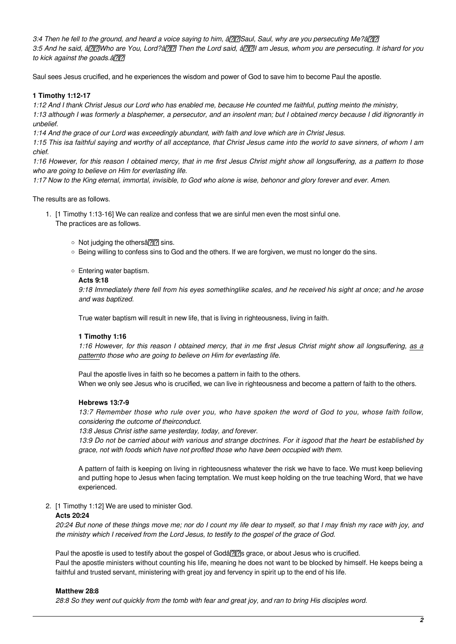3:4 Then he fell to the ground, and heard a voice saying to him, â and Saul, Saul, why are you persecuting Me?â and 3:5 And he said, â |7||?|Who are You, Lord?â [7]|?| Then the Lord said, â [7]|?| am Jesus, whom you are persecuting. It ishard for you to kick against the goads. ann

Saul sees Jesus crucified, and he experiences the wisdom and power of God to save him to become Paul the apostle.

### **1 Timothy 1:12-17**

1:12 And I thank Christ Jesus our Lord who has enabled me, because He counted me faithful, putting meinto the ministry, 1:13 although I was formerly a blasphemer, a persecutor, and an insolent man; but I obtained mercy because I did itignorantly in unbelief.

1:14 And the grace of our Lord was exceedingly abundant, with faith and love which are in Christ Jesus.

1:15 This isa faithful saying and worthy of all acceptance, that Christ Jesus came into the world to save sinners, of whom I am chief.

1:16 However, for this reason I obtained mercy, that in me first Jesus Christ might show all longsuffering, as a pattern to those who are going to believe on Him for everlasting life.

1:17 Now to the King eternal, immortal, invisible, to God who alone is wise, behonor and glory forever and ever. Amen.

The results are as follows.

- 1. [1 Timothy 1:13-16] We can realize and confess that we are sinful men even the most sinful one. The practices are as follows.
	- $\circ$  Not judging the othersa???? sins.
	- Being willing to confess sins to God and the others. If we are forgiven, we must no longer do the sins.
	- Entering water baptism.

#### **Acts 9:18**

9:18 Immediately there fell from his eyes somethinglike scales, and he received his sight at once; and he arose and was baptized.

True water baptism will result in new life, that is living in righteousness, living in faith.

### **1 Timothy 1:16**

1:16 However, for this reason I obtained mercy, that in me first Jesus Christ might show all longsuffering, as a patternto those who are going to believe on Him for everlasting life.

Paul the apostle lives in faith so he becomes a pattern in faith to the others.

When we only see Jesus who is crucified, we can live in righteousness and become a pattern of faith to the others.

### **Hebrews 13:7-9**

13:7 Remember those who rule over you, who have spoken the word of God to you, whose faith follow, considering the outcome of theirconduct.

13:8 Jesus Christ isthe same yesterday, today, and forever.

13:9 Do not be carried about with various and strange doctrines. For it isgood that the heart be established by grace, not with foods which have not profited those who have been occupied with them.

A pattern of faith is keeping on living in righteousness whatever the risk we have to face. We must keep believing and putting hope to Jesus when facing temptation. We must keep holding on the true teaching Word, that we have experienced.

2. [1 Timothy 1:12] We are used to minister God.

#### **Acts 20:24**

20:24 But none of these things move me; nor do I count my life dear to myself, so that I may finish my race with joy, and the ministry which I received from the Lord Jesus, to testify to the gospel of the grace of God.

Paul the apostle is used to testify about the gospel of Godâ<sup>[7]</sup>[7]s grace, or about Jesus who is crucified. Paul the apostle ministers without counting his life, meaning he does not want to be blocked by himself. He keeps being a faithful and trusted servant, ministering with great joy and fervency in spirit up to the end of his life.

#### **Matthew 28:8**

28:8 So they went out quickly from the tomb with fear and great joy, and ran to bring His disciples word.